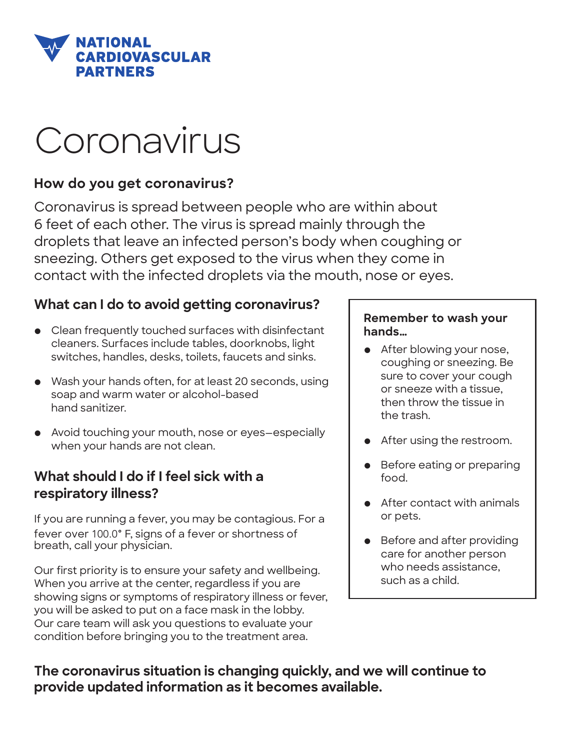

# Coronavirus

## **How do you get coronavirus?**

Coronavirus is spread between people who are within about 6 feet of each other. The virus is spread mainly through the droplets that leave an infected person's body when coughing or sneezing. Others get exposed to the virus when they come in contact with the infected droplets via the mouth, nose or eyes.

## **What can I do to avoid getting coronavirus?**

- Clean frequently touched surfaces with disinfectant cleaners. Surfaces include tables, doorknobs, light switches, handles, desks, toilets, faucets and sinks.
- Wash your hands often, for at least 20 seconds, using soap and warm water or alcohol-based hand sanitizer.
- Avoid touching your mouth, nose or eyes—especially when your hands are not clean.

# **What should I do if I feel sick with a respiratory illness?**

If you are running a fever, you may be contagious. For a fever over 100.0° F, signs of a fever or shortness of breath, call your physician.

Our first priority is to ensure your safety and wellbeing. When you arrive at the center, regardless if you are showing signs or symptoms of respiratory illness or fever, you will be asked to put on a face mask in the lobby. Our care team will ask you questions to evaluate your condition before bringing you to the treatment area.

#### **Remember to wash your hands…**

- After blowing your nose, coughing or sneezing. Be sure to cover your cough or sneeze with a tissue, then throw the tissue in the trash.
- After using the restroom.
- Before eating or preparing food.
- After contact with animals or pets.
- Before and after providing care for another person who needs assistance, such as a child.

**The coronavirus situation is changing quickly, and we will continue to provide updated information as it becomes available.**